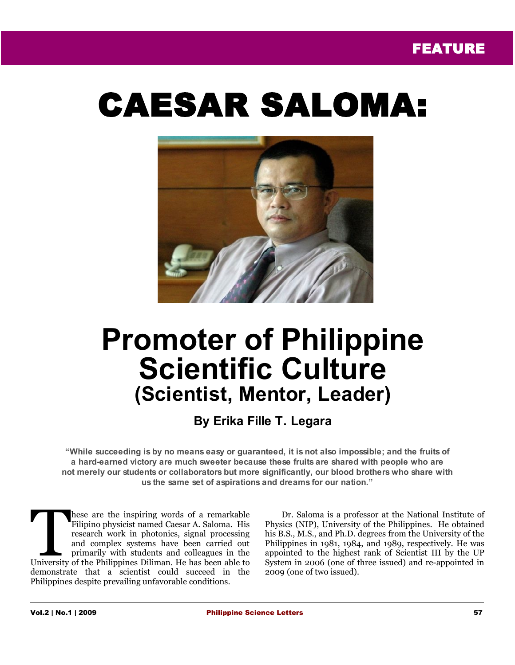# CAESAR SALOMA:



## **Promoter of Philippine Scientific Culture (Scientist, Mentor, Leader)**

### **By Erika Fille T. Legara**

**"While succeeding is by no means easy or guaranteed, it is not also impossible; and the fruits of a hard-earned victory are much sweeter because these fruits are shared with people who are not merely our students or collaborators but more significantly, our blood brothers who share with us the same set of aspirations and dreams for our nation."**

hese are the inspiring words of a remarkable Filipino physicist named Caesar A. Saloma. His research work in photonics, signal processing and complex systems have been carried out primarily with students and colleagues in the These are the inspiring words of a remarkable Filipino physicist named Caesar A. Saloma. His research work in photonics, signal processing and complex systems have been carried out primarily with students and colleagues in demonstrate that a scientist could succeed in the Philippines despite prevailing unfavorable conditions.

Dr. Saloma is a professor at the National Institute of Physics (NIP), University of the Philippines. He obtained his B.S., M.S., and Ph.D. degrees from the University of the Philippines in 1981, 1984, and 1989, respectively. He was appointed to the highest rank of Scientist III by the UP System in 2006 (one of three issued) and re-appointed in 2009 (one of two issued).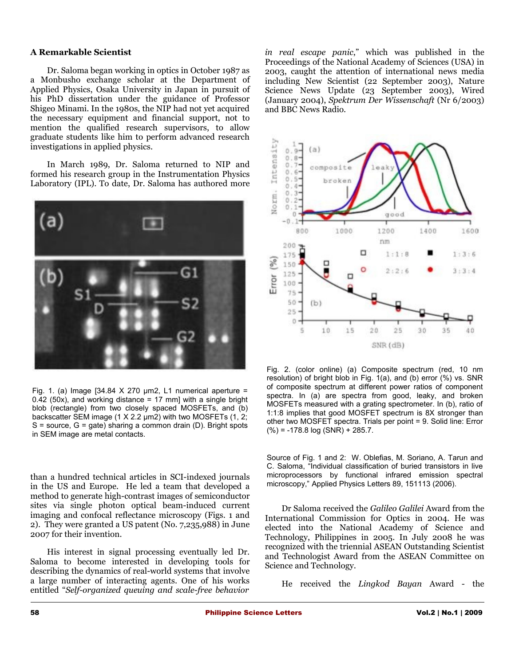#### **A Remarkable Scientist**

Dr. Saloma began working in optics in October 1987 as a Monbusho exchange scholar at the Department of Applied Physics, Osaka University in Japan in pursuit of his PhD dissertation under the guidance of Professor Shigeo Minami. In the 1980s, the NIP had not yet acquired the necessary equipment and financial support, not to mention the qualified research supervisors, to allow graduate students like him to perform advanced research investigations in applied physics.

In March 1989, Dr. Saloma returned to NIP and formed his research group in the Instrumentation Physics Laboratory (IPL). To date, Dr. Saloma has authored more



Fig. 1. (a) Image [34.84  $X$  270  $\mu$ m2, L1 numerical aperture = 0.42 (50x), and working distance = 17 mm] with a single bright blob (rectangle) from two closely spaced MOSFETs, and (b) backscatter SEM image (1 X 2.2 um2) with two MOSFETs (1, 2;  $S =$  source,  $G =$  gate) sharing a common drain  $(D)$ . Bright spots in SEM image are metal contacts.

than a hundred technical articles in SCI-indexed journals in the US and Europe. He led a team that developed a method to generate high-contrast images of semiconductor sites via single photon optical beam-induced current imaging and confocal reflectance microscopy (Figs. 1 and 2). They were granted a US patent (No. 7,235,988) in June 2007 for their invention.

His interest in signal processing eventually led Dr. Saloma to become interested in developing tools for describing the dynamics of real-world systems that involve a large number of interacting agents. One of his works entitled "*Self-organized queuing and scale-free behavior* *in real escape panic*," which was published in the Proceedings of the National Academy of Sciences (USA) in 2003, caught the attention of international news media including New Scientist (22 September 2003), Nature Science News Update (23 September 2003), Wired (January 2004), *Spektrum Der Wissenschaft* (Nr 6/2003) and BBC News Radio.



Fig. 2. (color online) (a) Composite spectrum (red, 10 nm resolution) of bright blob in Fig. 1(a), and (b) error (%) vs. SNR of composite spectrum at different power ratios of component spectra. In (a) are spectra from good, leaky, and broken MOSFETs measured with a grating spectrometer. In (b), ratio of 1:1:8 implies that good MOSFET spectrum is 8X stronger than other two MOSFET spectra. Trials per point = 9. Solid line: Error  $(\% ) = -178.8$  log (SNR) + 285.7.

Source of Fig. 1 and 2: W. Oblefias, M. Soriano, A. Tarun and C. Saloma, "Individual classification of buried transistors in live microprocessors by functional infrared emission spectral microscopy," Applied Physics Letters 89, 151113 (2006).

Dr Saloma received the *Galileo Galilei* Award from the International Commission for Optics in 2004. He was elected into the National Academy of Science and Technology, Philippines in 2005. In July 2008 he was recognized with the triennial ASEAN Outstanding Scientist and Technologist Award from the ASEAN Committee on Science and Technology.

He received the *Lingkod Bayan* Award - the